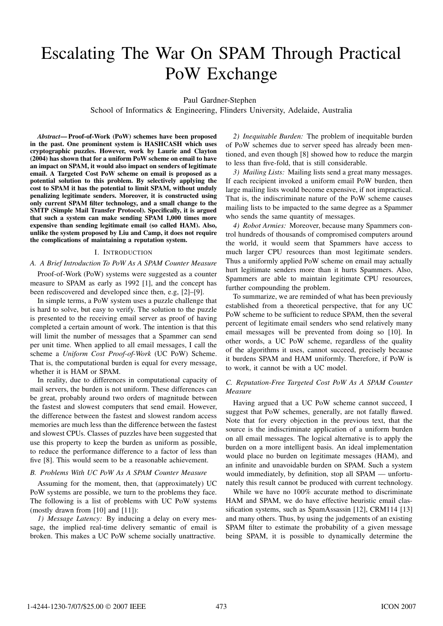# Escalating The War On SPAM Through Practical PoW Exchange

# Paul Gardner-Stephen

School of Informatics & Engineering, Flinders University, Adelaide, Australia

*Abstract***— Proof-of-Work (PoW) schemes have been proposed in the past. One prominent system is HASHCASH which uses cryptographic puzzles. However, work by Laurie and Clayton (2004) has shown that for a uniform PoW scheme on email to have an impact on SPAM, it would also impact on senders of legitimate email. A Targeted Cost PoW scheme on email is proposed as a potential solution to this problem. By selectively applying the cost to SPAM it has the potential to limit SPAM, without unduly penalizing legitimate senders. Moreover, it is constructed using only current SPAM filter technology, and a small change to the SMTP (Simple Mail Transfer Protocol). Specifically, it is argued that such a system can make sending SPAM 1,000 times more expensive than sending legitimate email (so called HAM). Also, unlike the system proposed by Liu and Camp, it does not require the complications of maintaining a reputation system.**

#### I. INTRODUCTION

# *A. A Brief Introduction To PoW As A SPAM Counter Measure*

Proof-of-Work (PoW) systems were suggested as a counter measure to SPAM as early as 1992 [1], and the concept has been rediscovered and developed since then, e.g, [2]–[9].

In simple terms, a PoW system uses a puzzle challenge that is hard to solve, but easy to verify. The solution to the puzzle is presented to the receiving email server as proof of having completed a certain amount of work. The intention is that this will limit the number of messages that a Spammer can send per unit time. When applied to all email messages, I call the scheme a *Uniform Cost Proof-of-Work* (UC PoW) Scheme. That is, the computational burden is equal for every message, whether it is HAM or SPAM.

In reality, due to differences in computational capacity of mail servers, the burden is not uniform. These differences can be great, probably around two orders of magnitude between the fastest and slowest computers that send email. However, the difference between the fastest and slowest random access memories are much less than the difference between the fastest and slowest CPUs. Classes of puzzles have been suggested that use this property to keep the burden as uniform as possible, to reduce the performance difference to a factor of less than five [8]. This would seem to be a reasonable achievement.

## *B. Problems With UC PoW As A SPAM Counter Measure*

Assuming for the moment, then, that (approximately) UC PoW systems are possible, we turn to the problems they face. The following is a list of problems with UC PoW systems (mostly drawn from [10] and [11]):

*1) Message Latency:* By inducing a delay on every message, the implied real-time delivery semantic of email is broken. This makes a UC PoW scheme socially unattractive.

*2) Inequitable Burden:* The problem of inequitable burden of PoW schemes due to server speed has already been mentioned, and even though [8] showed how to reduce the margin to less than five-fold, that is still considerable.

*3) Mailing Lists:* Mailing lists send a great many messages. If each recipient invoked a uniform email PoW burden, then large mailing lists would become expensive, if not impractical. That is, the indiscriminate nature of the PoW scheme causes mailing lists to be impacted to the same degree as a Spammer who sends the same quantity of messages.

*4) Robot Armies:* Moreover, because many Spammers control hundreds of thousands of compromised computers around the world, it would seem that Spammers have access to much larger CPU resources than most legitimate senders. Thus a uniformly applied PoW scheme on email may actually hurt legitimate senders more than it hurts Spammers. Also, Spammers are able to maintain legitimate CPU resources, further compounding the problem.

To summarize, we are reminded of what has been previously established from a theoretical perspective, that for any UC PoW scheme to be sufficient to reduce SPAM, then the several percent of legitimate email senders who send relatively many email messages will be prevented from doing so [10]. In other words, a UC PoW scheme, regardless of the quality of the algorithms it uses, cannot succeed, precisely because it burdens SPAM and HAM uniformly. Therefore, if PoW is to work, it cannot be with a UC model.

## *C. Reputation-Free Targeted Cost PoW As A SPAM Counter Measure*

Having argued that a UC PoW scheme cannot succeed, I suggest that PoW schemes, generally, are not fatally flawed. Note that for every objection in the previous text, that the source is the indiscriminate application of a uniform burden on all email messages. The logical alternative is to apply the burden on a more intelligent basis. An ideal implementation would place no burden on legitimate messages (HAM), and an infinite and unavoidable burden on SPAM. Such a system would immediately, by definition, stop all SPAM — unfortunately this result cannot be produced with current technology.

While we have no 100% accurate method to discriminate HAM and SPAM, we do have effective heuristic email classification systems, such as SpamAssassin [12], CRM114 [13] and many others. Thus, by using the judgements of an existing SPAM filter to estimate the probability of a given message being SPAM, it is possible to dynamically determine the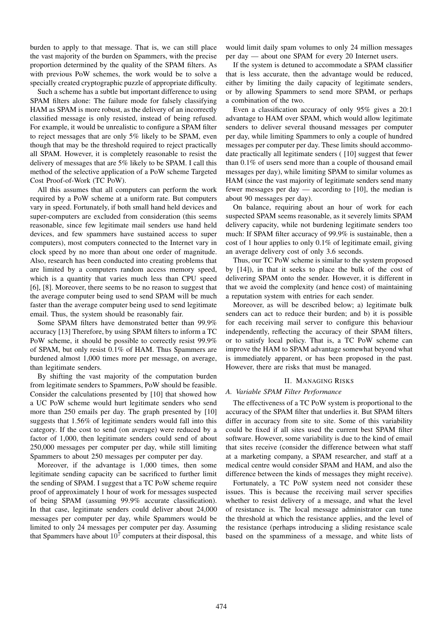burden to apply to that message. That is, we can still place the vast majority of the burden on Spammers, with the precise proportion determined by the quality of the SPAM filters. As with previous PoW schemes, the work would be to solve a specially created cryptographic puzzle of appropriate difficulty.

Such a scheme has a subtle but important difference to using SPAM filters alone: The failure mode for falsely classifying HAM as SPAM is more robust, as the delivery of an incorrectly classified message is only resisted, instead of being refused. For example, it would be unrealistic to configure a SPAM filter to reject messages that are only 5% likely to be SPAM, even though that may be the threshold required to reject practically all SPAM. However, it is completely reasonable to resist the delivery of messages that are 5% likely to be SPAM. I call this method of the selective application of a PoW scheme Targeted Cost Proof-of-Work (TC PoW).

All this assumes that all computers can perform the work required by a PoW scheme at a uniform rate. But computers vary in speed. Fortunately, if both small hand held devices and super-computers are excluded from consideration (this seems reasonable, since few legitimate mail senders use hand held devices, and few spammers have sustained access to super computers), most computers connected to the Internet vary in clock speed by no more than about one order of magnitude. Also, research has been conducted into creating problems that are limited by a computers random access memory speed, which is a quantity that varies much less than CPU speed [6], [8]. Moreover, there seems to be no reason to suggest that the average computer being used to send SPAM will be much faster than the average computer being used to send legitimate email. Thus, the system should be reasonably fair.

Some SPAM filters have demonstrated better than 99.9% accuracy [13] Therefore, by using SPAM filters to inform a TC PoW scheme, it should be possible to correctly resist 99.9% of SPAM, but only resist 0.1% of HAM. Thus Spammers are burdened almost 1,000 times more per message, on average, than legitimate senders.

By shifting the vast majority of the computation burden from legitimate senders to Spammers, PoW should be feasible. Consider the calculations presented by [10] that showed how a UC PoW scheme would hurt legitimate senders who send more than 250 emails per day. The graph presented by [10] suggests that 1.56% of legitimate senders would fall into this category. If the cost to send (on average) were reduced by a factor of 1,000, then legitimate senders could send of about 250,000 messages per computer per day, while still limiting Spammers to about 250 messages per computer per day.

Moreover, if the advantage is 1,000 times, then some legitimate sending capacity can be sacrificed to further limit the sending of SPAM. I suggest that a TC PoW scheme require proof of approximately 1 hour of work for messages suspected of being SPAM (assuming 99.9% accurate classification). In that case, legitimate senders could deliver about 24,000 messages per computer per day, while Spammers would be limited to only 24 messages per computer per day. Assuming that Spammers have about  $10<sup>7</sup>$  computers at their disposal, this

would limit daily spam volumes to only 24 million messages per day — about one SPAM for every 20 Internet users.

If the system is detuned to accommodate a SPAM classifier that is less accurate, then the advantage would be reduced, either by limiting the daily capacity of legitimate senders, or by allowing Spammers to send more SPAM, or perhaps a combination of the two.

Even a classification accuracy of only 95% gives a 20:1 advantage to HAM over SPAM, which would allow legitimate senders to deliver several thousand messages per computer per day, while limiting Spammers to only a couple of hundred messages per computer per day. These limits should accommodate practically all legitimate senders ( [10] suggest that fewer than 0.1% of users send more than a couple of thousand email messages per day), while limiting SPAM to similar volumes as HAM (since the vast majority of legitimate senders send many fewer messages per day — according to [10], the median is about 90 messages per day).

On balance, requiring about an hour of work for each suspected SPAM seems reasonable, as it severely limits SPAM delivery capacity, while not burdening legitimate senders too much: If SPAM filter accuracy of 99.9% is sustainable, then a cost of 1 hour applies to only 0.1% of legitimate email, giving an average delivery cost of only 3.6 seconds.

Thus, our TC PoW scheme is similar to the system proposed by [14]), in that it seeks to place the bulk of the cost of delivering SPAM onto the sender. However, it is different in that we avoid the complexity (and hence cost) of maintaining a reputation system with entries for each sender.

Moreover, as will be described below; a) legitimate bulk senders can act to reduce their burden; and b) it is possible for each receiving mail server to configure this behaviour independently, reflecting the accuracy of their SPAM filters, or to satisfy local policy. That is, a TC PoW scheme can improve the HAM to SPAM advantage somewhat beyond what is immediately apparent, or has been proposed in the past. However, there are risks that must be managed.

#### II. MANAGING RISKS

#### *A. Variable SPAM Filter Performance*

The effectiveness of a TC PoW system is proportional to the accuracy of the SPAM filter that underlies it. But SPAM filters differ in accuracy from site to site. Some of this variability could be fixed if all sites used the current best SPAM filter software. However, some variability is due to the kind of email that sites receive (consider the difference between what staff at a marketing company, a SPAM researcher, and staff at a medical centre would consider SPAM and HAM, and also the difference between the kinds of messages they might receive).

Fortunately, a TC PoW system need not consider these issues. This is because the receiving mail server specifies whether to resist delivery of a message, and what the level of resistance is. The local message administrator can tune the threshold at which the resistance applies, and the level of the resistance (perhaps introducing a sliding resistance scale based on the spamminess of a message, and white lists of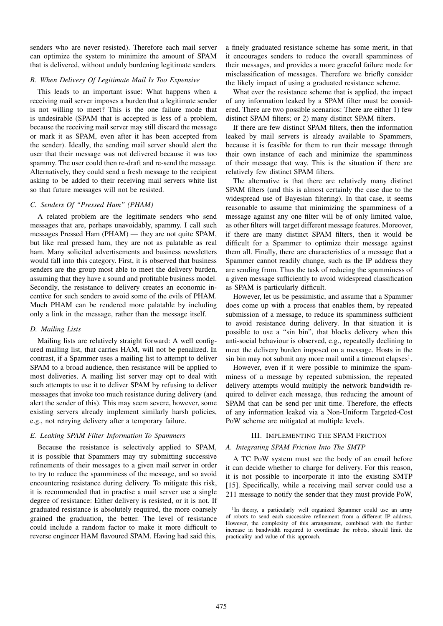senders who are never resisted). Therefore each mail server can optimize the system to minimize the amount of SPAM that is delivered, without unduly burdening legitimate senders.

## *B. When Delivery Of Legitimate Mail Is Too Expensive*

This leads to an important issue: What happens when a receiving mail server imposes a burden that a legitimate sender is not willing to meet? This is the one failure mode that is undesirable (SPAM that is accepted is less of a problem, because the receiving mail server may still discard the message or mark it as SPAM, even after it has been accepted from the sender). Ideally, the sending mail server should alert the user that their message was not delivered because it was too spammy. The user could then re-draft and re-send the message. Alternatively, they could send a fresh message to the recipient asking to be added to their receiving mail servers white list so that future messages will not be resisted.

## *C. Senders Of "Pressed Ham" (PHAM)*

A related problem are the legitimate senders who send messages that are, perhaps unavoidably, spammy. I call such messages Pressed Ham (PHAM) — they are not quite SPAM, but like real pressed ham, they are not as palatable as real ham. Many solicited advertisements and business newsletters would fall into this category. First, it is observed that business senders are the group most able to meet the delivery burden, assuming that they have a sound and profitable business model. Secondly, the resistance to delivery creates an economic incentive for such senders to avoid some of the evils of PHAM. Much PHAM can be rendered more palatable by including only a link in the message, rather than the message itself.

#### *D. Mailing Lists*

Mailing lists are relatively straight forward: A well configured mailing list, that carries HAM, will not be penalized. In contrast, if a Spammer uses a mailing list to attempt to deliver SPAM to a broad audience, then resistance will be applied to most deliveries. A mailing list server may opt to deal with such attempts to use it to deliver SPAM by refusing to deliver messages that invoke too much resistance during delivery (and alert the sender of this). This may seem severe, however, some existing servers already implement similarly harsh policies, e.g., not retrying delivery after a temporary failure.

## *E. Leaking SPAM Filter Information To Spammers*

Because the resistance is selectively applied to SPAM, it is possible that Spammers may try submitting successive refinements of their messages to a given mail server in order to try to reduce the spamminess of the message, and so avoid encountering resistance during delivery. To mitigate this risk, it is recommended that in practise a mail server use a single degree of resistance: Either delivery is resisted, or it is not. If graduated resistance is absolutely required, the more coarsely grained the graduation, the better. The level of resistance could include a random factor to make it more difficult to reverse engineer HAM flavoured SPAM. Having had said this,

a finely graduated resistance scheme has some merit, in that it encourages senders to reduce the overall spamminess of their messages, and provides a more graceful failure mode for misclassification of messages. Therefore we briefly consider the likely impact of using a graduated resistance scheme.

What ever the resistance scheme that is applied, the impact of any information leaked by a SPAM filter must be considered. There are two possible scenarios: There are either 1) few distinct SPAM filters; or 2) many distinct SPAM filters.

If there are few distinct SPAM filters, then the information leaked by mail servers is already available to Spammers, because it is feasible for them to run their message through their own instance of each and minimize the spamminess of their message that way. This is the situation if there are relatively few distinct SPAM filters.

The alternative is that there are relatively many distinct SPAM filters (and this is almost certainly the case due to the widespread use of Bayesian filtering). In that case, it seems reasonable to assume that minimizing the spamminess of a message against any one filter will be of only limited value, as other filters will target different message features. Moreover, if there are many distinct SPAM filters, then it would be difficult for a Spammer to optimize their message against them all. Finally, there are characteristics of a message that a Spammer cannot readily change, such as the IP address they are sending from. Thus the task of reducing the spamminess of a given message sufficiently to avoid widespread classification as SPAM is particularly difficult.

However, let us be pessimistic, and assume that a Spammer does come up with a process that enables them, by repeated submission of a message, to reduce its spamminess sufficient to avoid resistance during delivery. In that situation it is possible to use a "sin bin", that blocks delivery when this anti-social behaviour is observed, e.g., repeatedly declining to meet the delivery burden imposed on a message. Hosts in the sin bin may not submit any more mail until a timeout elapses<sup>1</sup>.

However, even if it were possible to minimize the spamminess of a message by repeated submission, the repeated delivery attempts would multiply the network bandwidth required to deliver each message, thus reducing the amount of SPAM that can be send per unit time. Therefore, the effects of any information leaked via a Non-Uniform Targeted-Cost PoW scheme are mitigated at multiple levels.

## III. IMPLEMENTING THE SPAM FRICTION

# *A. Integrating SPAM Friction Into The SMTP*

A TC PoW system must see the body of an email before it can decide whether to charge for delivery. For this reason, it is not possible to incorporate it into the existing SMTP [15]. Specifically, while a receiving mail server could use a 211 message to notify the sender that they must provide PoW,

<sup>&</sup>lt;sup>1</sup>In theory, a particularly well organized Spammer could use an army of robots to send each successive refinement from a different IP address. However, the complexity of this arrangement, combined with the further increase in bandwidth required to coordinate the robots, should limit the practicality and value of this approach.